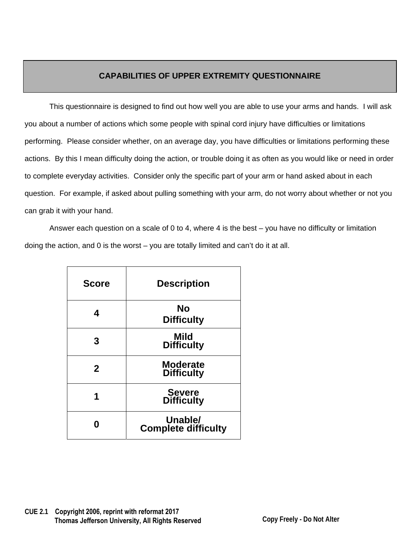## **CAPABILITIES OF UPPER EXTREMITY QUESTIONNAIRE**

This questionnaire is designed to find out how well you are able to use your arms and hands. I will ask you about a number of actions which some people with spinal cord injury have difficulties or limitations performing. Please consider whether, on an average day, you have difficulties or limitations performing these actions. By this I mean difficulty doing the action, or trouble doing it as often as you would like or need in order to complete everyday activities. Consider only the specific part of your arm or hand asked about in each question. For example, if asked about pulling something with your arm, do not worry about whether or not you can grab it with your hand.

Answer each question on a scale of 0 to 4, where 4 is the best – you have no difficulty or limitation doing the action, and 0 is the worst – you are totally limited and can't do it at all.

| <b>Score</b> | <b>Description</b>                    |
|--------------|---------------------------------------|
| 4            | No<br><b>Difficulty</b>               |
| 3            | Mild<br><b>Difficulty</b>             |
| $\mathbf{2}$ | <b>Moderate</b><br><b>Difficulty</b>  |
|              | <b>Severe</b><br><b>Difficulty</b>    |
|              | Unable/<br><b>Complete difficulty</b> |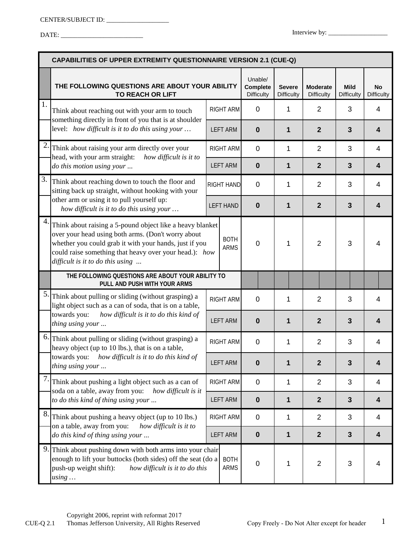|    | <b>CAPABILITIES OF UPPER EXTREMITY QUESTIONNAIRE VERSION 2.1 (CUE-Q)</b>                                                                                                                                                                                                                              |                     |                                                 |                                    |                                      |                                  |                         |                         |
|----|-------------------------------------------------------------------------------------------------------------------------------------------------------------------------------------------------------------------------------------------------------------------------------------------------------|---------------------|-------------------------------------------------|------------------------------------|--------------------------------------|----------------------------------|-------------------------|-------------------------|
|    | THE FOLLOWING QUESTIONS ARE ABOUT YOUR ABILITY<br>TO REACH OR LIFT                                                                                                                                                                                                                                    |                     | Unable/<br><b>Complete</b><br><b>Difficulty</b> | <b>Severe</b><br><b>Difficulty</b> | <b>Moderate</b><br><b>Difficulty</b> | <b>Mild</b><br><b>Difficulty</b> | No<br><b>Difficulty</b> |                         |
| 1. | Think about reaching out with your arm to touch<br>something directly in front of you that is at shoulder                                                                                                                                                                                             | RIGHT ARM           |                                                 | 0                                  | 1                                    | $\overline{2}$                   | 3                       | 4                       |
|    | level: how difficult is it to do this using your                                                                                                                                                                                                                                                      |                     | <b>LEFT ARM</b>                                 | $\bf{0}$                           | 1                                    | $\overline{2}$                   | $\mathbf{3}$            | 4                       |
| 2. | Think about raising your arm directly over your<br>head, with your arm straight:<br>how difficult is it to                                                                                                                                                                                            | RIGHT ARM           |                                                 | $\mathbf 0$                        | 1                                    | $\overline{2}$                   | 3                       | $\overline{4}$          |
|    | do this motion using your                                                                                                                                                                                                                                                                             |                     | <b>LEFT ARM</b>                                 | $\bf{0}$                           | 1                                    | $\overline{2}$                   | $\overline{\mathbf{3}}$ | $\overline{\mathbf{4}}$ |
| 3. | Think about reaching down to touch the floor and<br>sitting back up straight, without hooking with your<br>other arm or using it to pull yourself up:<br>how difficult is it to do this using your                                                                                                    |                     | RIGHT HAND                                      | $\mathbf 0$                        | 1                                    | $\overline{2}$                   | 3                       | $\overline{4}$          |
|    |                                                                                                                                                                                                                                                                                                       |                     | <b>LEFT HAND</b>                                | $\bf{0}$                           | 1                                    | $\overline{2}$                   | $\mathbf{3}$            | $\boldsymbol{4}$        |
| 4. | Think about raising a 5-pound object like a heavy blanket<br>over your head using both arms. (Don't worry about<br><b>BOTH</b><br>whether you could grab it with your hands, just if you<br><b>ARMS</b><br>could raise something that heavy over your head.): how<br>difficult is it to do this using |                     | $\Omega$                                        | 1                                  | $\overline{2}$                       | 3                                | 4                       |                         |
|    | THE FOLLOWING QUESTIONS ARE ABOUT YOUR ABILITY TO<br>PULL AND PUSH WITH YOUR ARMS                                                                                                                                                                                                                     |                     |                                                 |                                    |                                      |                                  |                         |                         |
| 5. | Think about pulling or sliding (without grasping) a<br>light object such as a can of soda, that is on a table,                                                                                                                                                                                        |                     | <b>RIGHT ARM</b>                                | $\mathbf 0$                        | 1                                    | $\overline{2}$                   | 3                       | $\overline{4}$          |
|    | towards you:<br>how difficult is it to do this kind of<br>thing using your                                                                                                                                                                                                                            |                     | <b>LEFT ARM</b>                                 | $\bf{0}$                           | 1                                    | $\overline{2}$                   | $\mathbf{3}$            | 4                       |
| 6. | Think about pulling or sliding (without grasping) a<br>heavy object (up to 10 lbs.), that is on a table,<br>towards you: how difficult is it to do this kind of<br>thing using your                                                                                                                   |                     | <b>RIGHT ARM</b>                                | $\mathbf 0$                        | 1                                    | $\overline{2}$                   | 3                       | 4                       |
|    |                                                                                                                                                                                                                                                                                                       |                     | <b>LEFT ARM</b>                                 | $\bf{0}$                           | 1                                    | 2                                | 3                       | 4                       |
| 7. | Think about pushing a light object such as a can of<br>soda on a table, away from you:<br>how difficult is it<br>to do this kind of thing using your                                                                                                                                                  |                     | RIGHT ARM                                       | $\pmb{0}$                          | $\mathbf 1$                          | $\overline{2}$                   | 3                       | $\overline{4}$          |
|    |                                                                                                                                                                                                                                                                                                       |                     | <b>LEFT ARM</b>                                 | $\mathbf 0$                        | $\mathbf{1}$                         | $\mathbf{2}$                     | $\mathbf{3}$            | $\overline{\mathbf{4}}$ |
| 8. | Think about pushing a heavy object (up to 10 lbs.)<br>on a table, away from you:<br>how difficult is it to<br>do this kind of thing using your                                                                                                                                                        |                     | RIGHT ARM                                       | $\pmb{0}$                          | 1                                    | $\overline{2}$                   | 3                       | $\overline{4}$          |
|    |                                                                                                                                                                                                                                                                                                       |                     | <b>LEFT ARM</b>                                 | $\mathbf 0$                        | 1                                    | $\overline{2}$                   | $\mathbf{3}$            | 4                       |
| 9. | Think about pushing down with both arms into your chair<br>enough to lift your buttocks (both sides) off the seat (do a<br>push-up weight shift):<br>how difficult is it to do this<br>using                                                                                                          | <b>BOTH</b><br>ARMS |                                                 | 0                                  | 1                                    | 2                                | 3                       | $\overline{4}$          |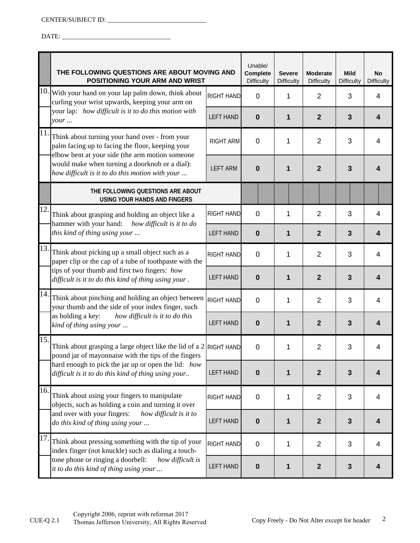DATE: \_\_\_\_\_\_\_\_\_\_\_\_\_\_\_\_\_\_\_\_\_\_\_\_\_\_\_\_\_\_\_\_\_

|     | THE FOLLOWING QUESTIONS ARE ABOUT MOVING AND<br>POSITIONING YOUR ARM AND WRIST                                                                                                                                                                             |                   |             | <b>Severe</b><br><b>Difficulty</b> | <b>Moderate</b><br><b>Difficulty</b> | <b>Mild</b><br><b>Difficulty</b> | <b>No</b><br><b>Difficulty</b> |
|-----|------------------------------------------------------------------------------------------------------------------------------------------------------------------------------------------------------------------------------------------------------------|-------------------|-------------|------------------------------------|--------------------------------------|----------------------------------|--------------------------------|
| 10. | With your hand on your lap palm down, think about<br>curling your wrist upwards, keeping your arm on                                                                                                                                                       | <b>RIGHT HAND</b> | $\mathbf 0$ | 1                                  | $\overline{2}$                       | 3                                | 4                              |
|     | your lap: how difficult is it to do this motion with<br>your                                                                                                                                                                                               | <b>LEFT HAND</b>  | 0           | 1                                  | $\overline{2}$                       | $\mathbf{3}$                     | 4                              |
| 11  | Think about turning your hand over - from your<br>palm facing up to facing the floor, keeping your<br>elbow bent at your side (the arm motion someone<br>would make when turning a doorknob or a dial):<br>how difficult is it to do this motion with your | <b>RIGHT ARM</b>  | $\mathbf 0$ | 1                                  | $\overline{2}$                       | 3                                | 4                              |
|     |                                                                                                                                                                                                                                                            | <b>LEFT ARM</b>   | 0           | 1                                  | $\overline{2}$                       | $\mathbf{3}$                     | 4                              |
|     | THE FOLLOWING QUESTIONS ARE ABOUT<br><b>USING YOUR HANDS AND FINGERS</b>                                                                                                                                                                                   |                   |             |                                    |                                      |                                  |                                |
| 12. | Think about grasping and holding an object like a<br>hammer with your hand: how difficult is it to do<br>this kind of thing using your                                                                                                                     | <b>RIGHT HAND</b> | 0           | 1                                  | $\overline{2}$                       | 3                                | 4                              |
|     |                                                                                                                                                                                                                                                            | <b>LEFT HAND</b>  | 0           | 1                                  | $\overline{2}$                       | $\mathbf{3}$                     | $\overline{\mathbf{4}}$        |
| 13. | Think about picking up a small object such as a<br>paper clip or the cap of a tube of toothpaste with the                                                                                                                                                  | RIGHT HAND        | $\mathbf 0$ | 1                                  | $\overline{2}$                       | 3                                | $\overline{4}$                 |
|     | tips of your thumb and first two fingers: how<br>difficult is it to do this kind of thing using your.                                                                                                                                                      | <b>LEFT HAND</b>  | 0           | 1                                  | $\overline{2}$                       | $\mathbf{3}$                     | 4                              |
| 14. | Think about pinching and holding an object between<br>your thumb and the side of your index finger, such                                                                                                                                                   | <b>RIGHT HAND</b> | 0           | 1                                  | $\overline{2}$                       | 3                                | $\overline{4}$                 |
|     | as holding a key:<br>how difficult is it to do this<br>kind of thing using your                                                                                                                                                                            | <b>LEFT HAND</b>  | 0           | 1                                  | $\overline{2}$                       | $\mathbf{3}$                     | 4                              |
| 15. | Think about grasping a large object like the lid of a 2 RIGHT HAND<br>pound jar of mayonnaise with the tips of the fingers                                                                                                                                 |                   | $\mathbf 0$ | 1                                  | $\overline{2}$                       | 3                                | 4                              |
|     | hard enough to pick the jar up or open the lid: how<br>difficult is it to do this kind of thing using your                                                                                                                                                 | <b>LEFT HAND</b>  | 0           | 1                                  | $\mathbf{2}$                         | $\mathbf{3}$                     | 4                              |
| 16. | Think about using your fingers to manipulate<br>objects, such as holding a coin and turning it over<br>and over with your fingers:<br>how difficult is it to<br>do this kind of thing using your                                                           | <b>RIGHT HAND</b> | 0           | 1                                  | $\overline{2}$                       | 3                                | $\overline{\mathcal{A}}$       |
|     |                                                                                                                                                                                                                                                            | <b>LEFT HAND</b>  | $\bf{0}$    | 1                                  | $\mathbf{2}$                         | $\mathbf{3}$                     | 4                              |
| 17. | Think about pressing something with the tip of your<br>index finger (not knuckle) such as dialing a touch-                                                                                                                                                 | <b>RIGHT HAND</b> | $\mathbf 0$ | 1                                  | 2                                    | 3                                | $\overline{\mathbf{4}}$        |
|     | tone phone or ringing a doorbell:<br>how difficult is<br>it to do this kind of thing using your                                                                                                                                                            | <b>LEFT HAND</b>  | $\bf{0}$    | 1                                  | $\overline{2}$                       | $\mathbf{3}$                     | 4                              |